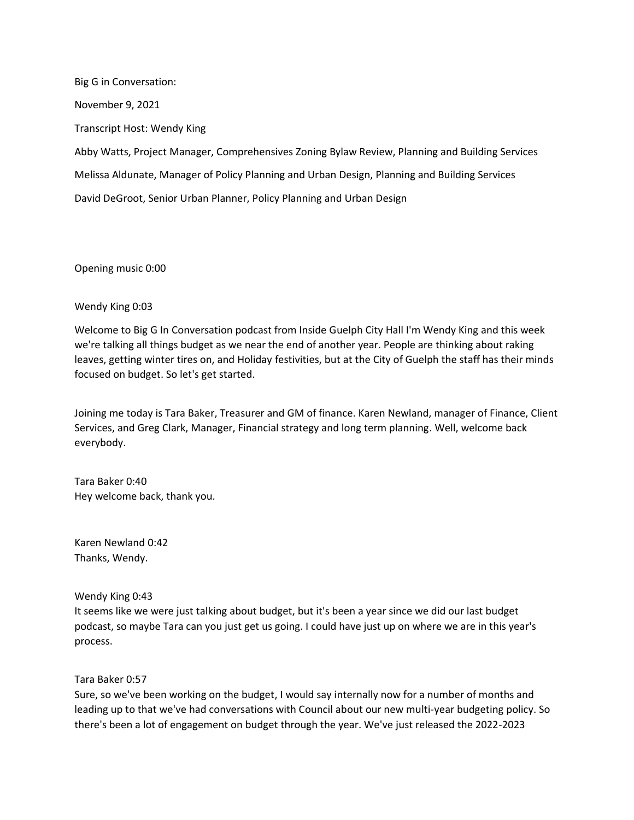Big G in Conversation: November 9, 2021 Transcript Host: Wendy King Abby Watts, Project Manager, Comprehensives Zoning Bylaw Review, Planning and Building Services Melissa Aldunate, Manager of Policy Planning and Urban Design, Planning and Building Services David DeGroot, Senior Urban Planner, Policy Planning and Urban Design

Opening music 0:00

Wendy King 0:03

Welcome to Big G In Conversation podcast from Inside Guelph City Hall I'm Wendy King and this week we're talking all things budget as we near the end of another year. People are thinking about raking leaves, getting winter tires on, and Holiday festivities, but at the City of Guelph the staff has their minds focused on budget. So let's get started.

Joining me today is Tara Baker, Treasurer and GM of finance. Karen Newland, manager of Finance, Client Services, and Greg Clark, Manager, Financial strategy and long term planning. Well, welcome back everybody.

Tara Baker 0:40 Hey welcome back, thank you.

Karen Newland 0:42 Thanks, Wendy.

Wendy King 0:43

It seems like we were just talking about budget, but it's been a year since we did our last budget podcast, so maybe Tara can you just get us going. I could have just up on where we are in this year's process.

Tara Baker 0:57

Sure, so we've been working on the budget, I would say internally now for a number of months and leading up to that we've had conversations with Council about our new multi-year budgeting policy. So there's been a lot of engagement on budget through the year. We've just released the 2022-2023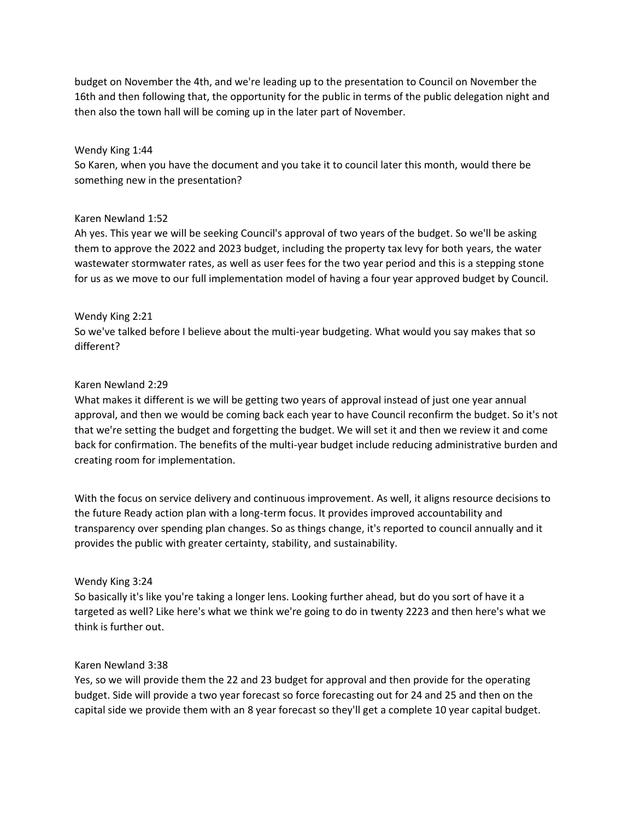budget on November the 4th, and we're leading up to the presentation to Council on November the 16th and then following that, the opportunity for the public in terms of the public delegation night and then also the town hall will be coming up in the later part of November.

### Wendy King 1:44

So Karen, when you have the document and you take it to council later this month, would there be something new in the presentation?

### Karen Newland 1:52

Ah yes. This year we will be seeking Council's approval of two years of the budget. So we'll be asking them to approve the 2022 and 2023 budget, including the property tax levy for both years, the water wastewater stormwater rates, as well as user fees for the two year period and this is a stepping stone for us as we move to our full implementation model of having a four year approved budget by Council.

### Wendy King 2:21

So we've talked before I believe about the multi-year budgeting. What would you say makes that so different?

### Karen Newland 2:29

What makes it different is we will be getting two years of approval instead of just one year annual approval, and then we would be coming back each year to have Council reconfirm the budget. So it's not that we're setting the budget and forgetting the budget. We will set it and then we review it and come back for confirmation. The benefits of the multi-year budget include reducing administrative burden and creating room for implementation.

With the focus on service delivery and continuous improvement. As well, it aligns resource decisions to the future Ready action plan with a long-term focus. It provides improved accountability and transparency over spending plan changes. So as things change, it's reported to council annually and it provides the public with greater certainty, stability, and sustainability.

#### Wendy King 3:24

So basically it's like you're taking a longer lens. Looking further ahead, but do you sort of have it a targeted as well? Like here's what we think we're going to do in twenty 2223 and then here's what we think is further out.

#### Karen Newland 3:38

Yes, so we will provide them the 22 and 23 budget for approval and then provide for the operating budget. Side will provide a two year forecast so force forecasting out for 24 and 25 and then on the capital side we provide them with an 8 year forecast so they'll get a complete 10 year capital budget.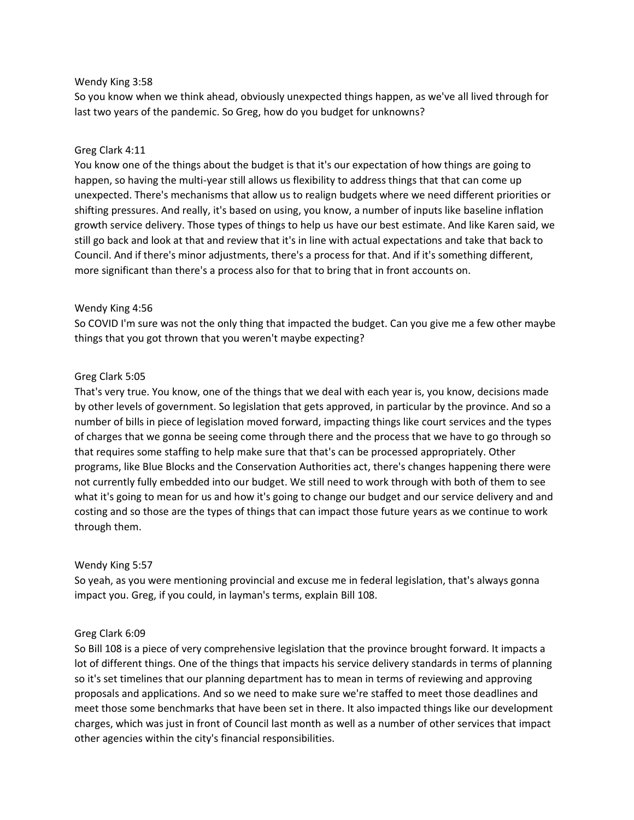#### Wendy King 3:58

So you know when we think ahead, obviously unexpected things happen, as we've all lived through for last two years of the pandemic. So Greg, how do you budget for unknowns?

## Greg Clark 4:11

You know one of the things about the budget is that it's our expectation of how things are going to happen, so having the multi-year still allows us flexibility to address things that that can come up unexpected. There's mechanisms that allow us to realign budgets where we need different priorities or shifting pressures. And really, it's based on using, you know, a number of inputs like baseline inflation growth service delivery. Those types of things to help us have our best estimate. And like Karen said, we still go back and look at that and review that it's in line with actual expectations and take that back to Council. And if there's minor adjustments, there's a process for that. And if it's something different, more significant than there's a process also for that to bring that in front accounts on.

## Wendy King 4:56

So COVID I'm sure was not the only thing that impacted the budget. Can you give me a few other maybe things that you got thrown that you weren't maybe expecting?

# Greg Clark 5:05

That's very true. You know, one of the things that we deal with each year is, you know, decisions made by other levels of government. So legislation that gets approved, in particular by the province. And so a number of bills in piece of legislation moved forward, impacting things like court services and the types of charges that we gonna be seeing come through there and the process that we have to go through so that requires some staffing to help make sure that that's can be processed appropriately. Other programs, like Blue Blocks and the Conservation Authorities act, there's changes happening there were not currently fully embedded into our budget. We still need to work through with both of them to see what it's going to mean for us and how it's going to change our budget and our service delivery and and costing and so those are the types of things that can impact those future years as we continue to work through them.

## Wendy King 5:57

So yeah, as you were mentioning provincial and excuse me in federal legislation, that's always gonna impact you. Greg, if you could, in layman's terms, explain Bill 108.

## Greg Clark 6:09

So Bill 108 is a piece of very comprehensive legislation that the province brought forward. It impacts a lot of different things. One of the things that impacts his service delivery standards in terms of planning so it's set timelines that our planning department has to mean in terms of reviewing and approving proposals and applications. And so we need to make sure we're staffed to meet those deadlines and meet those some benchmarks that have been set in there. It also impacted things like our development charges, which was just in front of Council last month as well as a number of other services that impact other agencies within the city's financial responsibilities.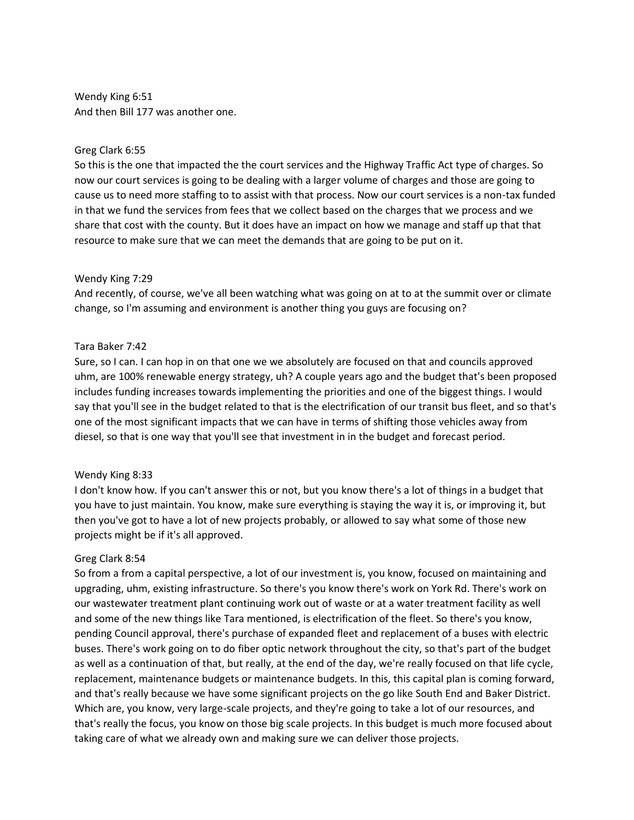Wendy King 6:51 And then Bill 177 was another one.

### Greg Clark 6:55

So this is the one that impacted the the court services and the Highway Traffic Act type of charges. So now our court services is going to be dealing with a larger volume of charges and those are going to cause us to need more staffing to to assist with that process. Now our court services is a non-tax funded in that we fund the services from fees that we collect based on the charges that we process and we share that cost with the county. But it does have an impact on how we manage and staff up that that resource to make sure that we can meet the demands that are going to be put on it.

### Wendy King 7:29

And recently, of course, we've all been watching what was going on at to at the summit over or climate change, so I'm assuming and environment is another thing you guys are focusing on?

### Tara Baker 7:42

Sure, so I can. I can hop in on that one we we absolutely are focused on that and councils approved uhm, are 100% renewable energy strategy, uh? A couple years ago and the budget that's been proposed includes funding increases towards implementing the priorities and one of the biggest things. I would say that you'll see in the budget related to that is the electrification of our transit bus fleet, and so that's one of the most significant impacts that we can have in terms of shifting those vehicles away from diesel, so that is one way that you'll see that investment in in the budget and forecast period.

## Wendy King 8:33

I don't know how. If you can't answer this or not, but you know there's a lot of things in a budget that you have to just maintain. You know, make sure everything is staying the way it is, or improving it, but then you've got to have a lot of new projects probably, or allowed to say what some of those new projects might be if it's all approved.

## Greg Clark 8:54

So from a from a capital perspective, a lot of our investment is, you know, focused on maintaining and upgrading, uhm, existing infrastructure. So there's you know there's work on York Rd. There's work on our wastewater treatment plant continuing work out of waste or at a water treatment facility as well and some of the new things like Tara mentioned, is electrification of the fleet. So there's you know, pending Council approval, there's purchase of expanded fleet and replacement of a buses with electric buses. There's work going on to do fiber optic network throughout the city, so that's part of the budget as well as a continuation of that, but really, at the end of the day, we're really focused on that life cycle, replacement, maintenance budgets or maintenance budgets. In this, this capital plan is coming forward, and that's really because we have some significant projects on the go like South End and Baker District. Which are, you know, very large-scale projects, and they're going to take a lot of our resources, and that's really the focus, you know on those big scale projects. In this budget is much more focused about taking care of what we already own and making sure we can deliver those projects.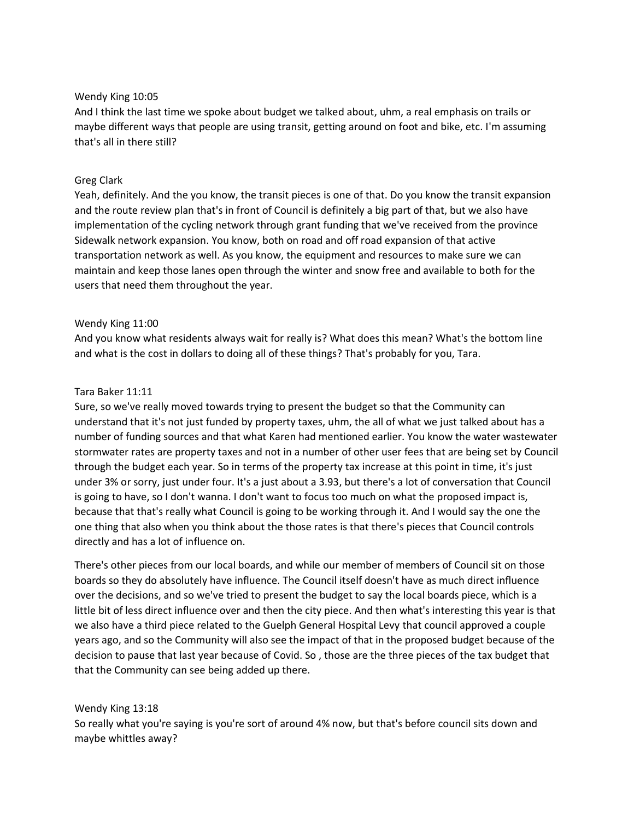### Wendy King 10:05

And I think the last time we spoke about budget we talked about, uhm, a real emphasis on trails or maybe different ways that people are using transit, getting around on foot and bike, etc. I'm assuming that's all in there still?

### Greg Clark

Yeah, definitely. And the you know, the transit pieces is one of that. Do you know the transit expansion and the route review plan that's in front of Council is definitely a big part of that, but we also have implementation of the cycling network through grant funding that we've received from the province Sidewalk network expansion. You know, both on road and off road expansion of that active transportation network as well. As you know, the equipment and resources to make sure we can maintain and keep those lanes open through the winter and snow free and available to both for the users that need them throughout the year.

### Wendy King 11:00

And you know what residents always wait for really is? What does this mean? What's the bottom line and what is the cost in dollars to doing all of these things? That's probably for you, Tara.

### Tara Baker 11:11

Sure, so we've really moved towards trying to present the budget so that the Community can understand that it's not just funded by property taxes, uhm, the all of what we just talked about has a number of funding sources and that what Karen had mentioned earlier. You know the water wastewater stormwater rates are property taxes and not in a number of other user fees that are being set by Council through the budget each year. So in terms of the property tax increase at this point in time, it's just under 3% or sorry, just under four. It's a just about a 3.93, but there's a lot of conversation that Council is going to have, so I don't wanna. I don't want to focus too much on what the proposed impact is, because that that's really what Council is going to be working through it. And I would say the one the one thing that also when you think about the those rates is that there's pieces that Council controls directly and has a lot of influence on.

There's other pieces from our local boards, and while our member of members of Council sit on those boards so they do absolutely have influence. The Council itself doesn't have as much direct influence over the decisions, and so we've tried to present the budget to say the local boards piece, which is a little bit of less direct influence over and then the city piece. And then what's interesting this year is that we also have a third piece related to the Guelph General Hospital Levy that council approved a couple years ago, and so the Community will also see the impact of that in the proposed budget because of the decision to pause that last year because of Covid. So , those are the three pieces of the tax budget that that the Community can see being added up there.

## Wendy King 13:18

So really what you're saying is you're sort of around 4% now, but that's before council sits down and maybe whittles away?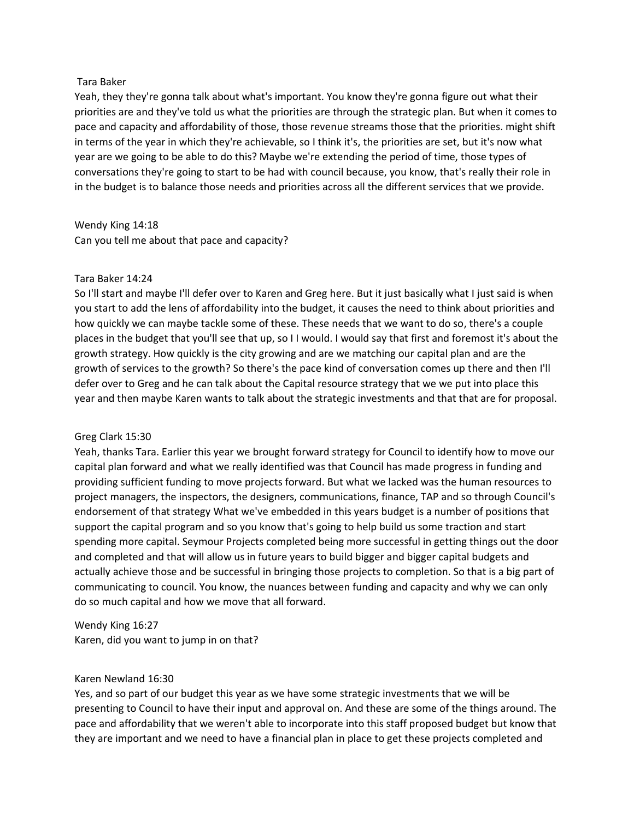#### Tara Baker

Yeah, they they're gonna talk about what's important. You know they're gonna figure out what their priorities are and they've told us what the priorities are through the strategic plan. But when it comes to pace and capacity and affordability of those, those revenue streams those that the priorities. might shift in terms of the year in which they're achievable, so I think it's, the priorities are set, but it's now what year are we going to be able to do this? Maybe we're extending the period of time, those types of conversations they're going to start to be had with council because, you know, that's really their role in in the budget is to balance those needs and priorities across all the different services that we provide.

Wendy King 14:18 Can you tell me about that pace and capacity?

### Tara Baker 14:24

So I'll start and maybe I'll defer over to Karen and Greg here. But it just basically what I just said is when you start to add the lens of affordability into the budget, it causes the need to think about priorities and how quickly we can maybe tackle some of these. These needs that we want to do so, there's a couple places in the budget that you'll see that up, so I I would. I would say that first and foremost it's about the growth strategy. How quickly is the city growing and are we matching our capital plan and are the growth of services to the growth? So there's the pace kind of conversation comes up there and then I'll defer over to Greg and he can talk about the Capital resource strategy that we we put into place this year and then maybe Karen wants to talk about the strategic investments and that that are for proposal.

#### Greg Clark 15:30

Yeah, thanks Tara. Earlier this year we brought forward strategy for Council to identify how to move our capital plan forward and what we really identified was that Council has made progress in funding and providing sufficient funding to move projects forward. But what we lacked was the human resources to project managers, the inspectors, the designers, communications, finance, TAP and so through Council's endorsement of that strategy What we've embedded in this years budget is a number of positions that support the capital program and so you know that's going to help build us some traction and start spending more capital. Seymour Projects completed being more successful in getting things out the door and completed and that will allow us in future years to build bigger and bigger capital budgets and actually achieve those and be successful in bringing those projects to completion. So that is a big part of communicating to council. You know, the nuances between funding and capacity and why we can only do so much capital and how we move that all forward.

Wendy King 16:27

Karen, did you want to jump in on that?

#### Karen Newland 16:30

Yes, and so part of our budget this year as we have some strategic investments that we will be presenting to Council to have their input and approval on. And these are some of the things around. The pace and affordability that we weren't able to incorporate into this staff proposed budget but know that they are important and we need to have a financial plan in place to get these projects completed and